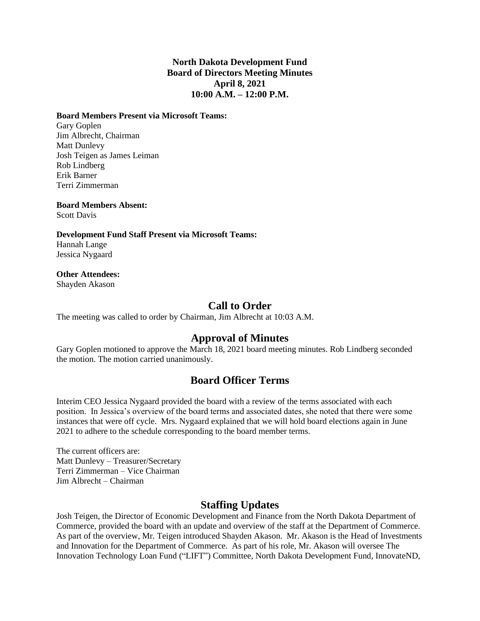#### **North Dakota Development Fund Board of Directors Meeting Minutes April 8, 2021 10:00 A.M. – 12:00 P.M.**

#### **Board Members Present via Microsoft Teams:**

Gary Goplen Jim Albrecht, Chairman Matt Dunlevy Josh Teigen as James Leiman Rob Lindberg Erik Barner Terri Zimmerman

**Board Members Absent:** Scott Davis

**Development Fund Staff Present via Microsoft Teams:** Hannah Lange Jessica Nygaard

# **Other Attendees:**

Shayden Akason

#### **Call to Order**

The meeting was called to order by Chairman, Jim Albrecht at 10:03 A.M.

# **Approval of Minutes**

Gary Goplen motioned to approve the March 18, 2021 board meeting minutes. Rob Lindberg seconded the motion. The motion carried unanimously.

# **Board Officer Terms**

Interim CEO Jessica Nygaard provided the board with a review of the terms associated with each position. In Jessica's overview of the board terms and associated dates, she noted that there were some instances that were off cycle. Mrs. Nygaard explained that we will hold board elections again in June 2021 to adhere to the schedule corresponding to the board member terms.

The current officers are: Matt Dunlevy – Treasurer/Secretary Terri Zimmerman – Vice Chairman Jim Albrecht – Chairman

#### **Staffing Updates**

Josh Teigen, the Director of Economic Development and Finance from the North Dakota Department of Commerce, provided the board with an update and overview of the staff at the Department of Commerce. As part of the overview, Mr. Teigen introduced Shayden Akason. Mr. Akason is the Head of Investments and Innovation for the Department of Commerce. As part of his role, Mr. Akason will oversee The Innovation Technology Loan Fund ("LIFT") Committee, North Dakota Development Fund, InnovateND,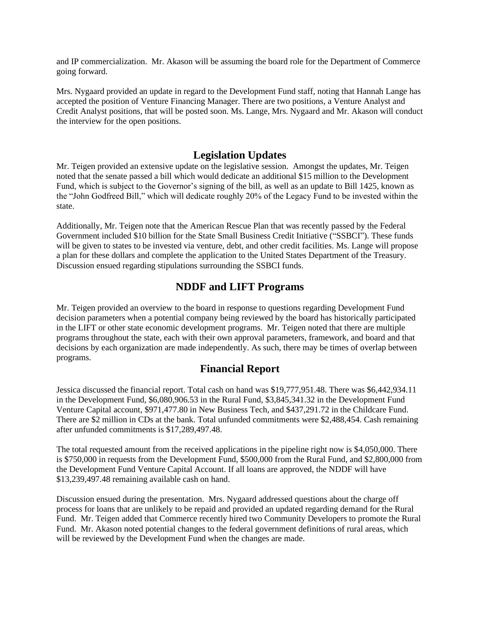and IP commercialization. Mr. Akason will be assuming the board role for the Department of Commerce going forward.

Mrs. Nygaard provided an update in regard to the Development Fund staff, noting that Hannah Lange has accepted the position of Venture Financing Manager. There are two positions, a Venture Analyst and Credit Analyst positions, that will be posted soon. Ms. Lange, Mrs. Nygaard and Mr. Akason will conduct the interview for the open positions.

#### **Legislation Updates**

Mr. Teigen provided an extensive update on the legislative session. Amongst the updates, Mr. Teigen noted that the senate passed a bill which would dedicate an additional \$15 million to the Development Fund, which is subject to the Governor's signing of the bill, as well as an update to Bill 1425, known as the "John Godfreed Bill," which will dedicate roughly 20% of the Legacy Fund to be invested within the state.

Additionally, Mr. Teigen note that the American Rescue Plan that was recently passed by the Federal Government included \$10 billion for the State Small Business Credit Initiative ("SSBCI"). These funds will be given to states to be invested via venture, debt, and other credit facilities. Ms. Lange will propose a plan for these dollars and complete the application to the United States Department of the Treasury. Discussion ensued regarding stipulations surrounding the SSBCI funds.

#### **NDDF and LIFT Programs**

Mr. Teigen provided an overview to the board in response to questions regarding Development Fund decision parameters when a potential company being reviewed by the board has historically participated in the LIFT or other state economic development programs. Mr. Teigen noted that there are multiple programs throughout the state, each with their own approval parameters, framework, and board and that decisions by each organization are made independently. As such, there may be times of overlap between programs.

#### **Financial Report**

Jessica discussed the financial report. Total cash on hand was \$19,777,951.48. There was \$6,442,934.11 in the Development Fund, \$6,080,906.53 in the Rural Fund, \$3,845,341.32 in the Development Fund Venture Capital account, \$971,477.80 in New Business Tech, and \$437,291.72 in the Childcare Fund. There are \$2 million in CDs at the bank. Total unfunded commitments were \$2,488,454. Cash remaining after unfunded commitments is \$17,289,497.48.

The total requested amount from the received applications in the pipeline right now is \$4,050,000. There is \$750,000 in requests from the Development Fund, \$500,000 from the Rural Fund, and \$2,800,000 from the Development Fund Venture Capital Account. If all loans are approved, the NDDF will have \$13,239,497.48 remaining available cash on hand.

Discussion ensued during the presentation. Mrs. Nygaard addressed questions about the charge off process for loans that are unlikely to be repaid and provided an updated regarding demand for the Rural Fund. Mr. Teigen added that Commerce recently hired two Community Developers to promote the Rural Fund. Mr. Akason noted potential changes to the federal government definitions of rural areas, which will be reviewed by the Development Fund when the changes are made.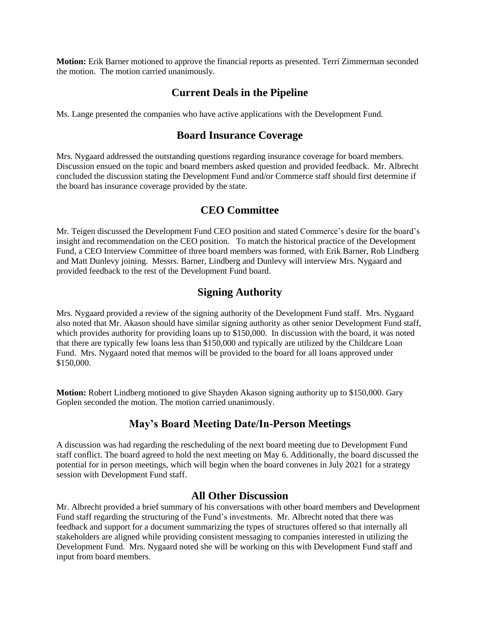**Motion:** Erik Barner motioned to approve the financial reports as presented. Terri Zimmerman seconded the motion. The motion carried unanimously.

# **Current Deals in the Pipeline**

Ms. Lange presented the companies who have active applications with the Development Fund.

# **Board Insurance Coverage**

Mrs. Nygaard addressed the outstanding questions regarding insurance coverage for board members. Discussion ensued on the topic and board members asked question and provided feedback. Mr. Albrecht concluded the discussion stating the Development Fund and/or Commerce staff should first determine if the board has insurance coverage provided by the state.

# **CEO Committee**

Mr. Teigen discussed the Development Fund CEO position and stated Commerce's desire for the board's insight and recommendation on the CEO position. To match the historical practice of the Development Fund, a CEO Interview Committee of three board members was formed, with Erik Barner, Rob Lindberg and Matt Dunlevy joining. Messrs. Barner, Lindberg and Dunlevy will interview Mrs. Nygaard and provided feedback to the rest of the Development Fund board.

# **Signing Authority**

Mrs. Nygaard provided a review of the signing authority of the Development Fund staff. Mrs. Nygaard also noted that Mr. Akason should have similar signing authority as other senior Development Fund staff, which provides authority for providing loans up to \$150,000. In discussion with the board, it was noted that there are typically few loans less than \$150,000 and typically are utilized by the Childcare Loan Fund. Mrs. Nygaard noted that memos will be provided to the board for all loans approved under \$150,000.

**Motion:** Robert Lindberg motioned to give Shayden Akason signing authority up to \$150,000. Gary Goplen seconded the motion. The motion carried unanimously.

# **May's Board Meeting Date/In-Person Meetings**

A discussion was had regarding the rescheduling of the next board meeting due to Development Fund staff conflict. The board agreed to hold the next meeting on May 6. Additionally, the board discussed the potential for in person meetings, which will begin when the board convenes in July 2021 for a strategy session with Development Fund staff.

#### **All Other Discussion**

Mr. Albrecht provided a brief summary of his conversations with other board members and Development Fund staff regarding the structuring of the Fund's investments. Mr. Albrecht noted that there was feedback and support for a document summarizing the types of structures offered so that internally all stakeholders are aligned while providing consistent messaging to companies interested in utilizing the Development Fund. Mrs. Nygaard noted she will be working on this with Development Fund staff and input from board members.